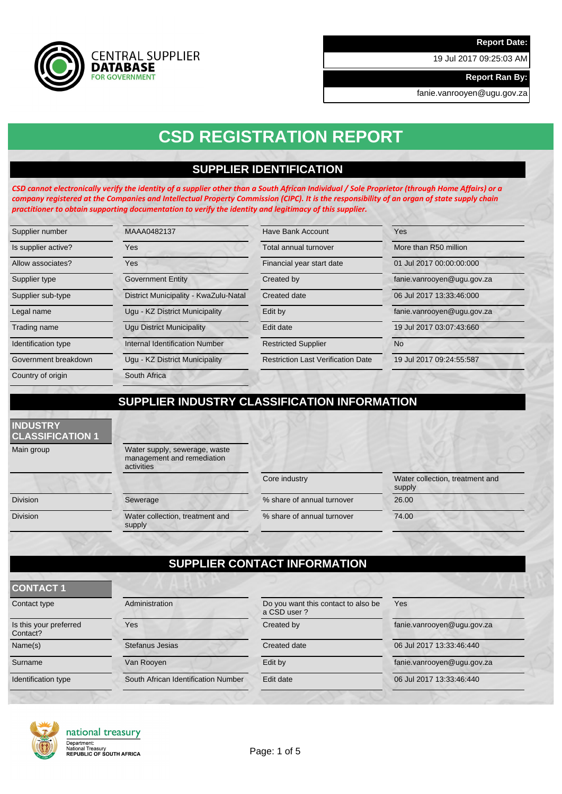19 Jul 2017 09:25:03 AM

**Report Ran By:**

fanie.vanrooyen@ugu.gov.za

# **CSD REGISTRATION REPORT**

## **SUPPLIER IDENTIFICATION**

*CSD cannot electronically verify the identity of a supplier other than a South African Individual / Sole Proprietor (through Home Affairs) or a company registered at the Companies and Intellectual Property Commission (CIPC). It is the responsibility of an organ of state supply chain practitioner to obtain supporting documentation to verify the identity and legitimacy of this supplier.*

| Supplier number      | MAAA0482137                           | Have Bank Account                         | Yes                        |
|----------------------|---------------------------------------|-------------------------------------------|----------------------------|
| Is supplier active?  | Yes                                   | Total annual turnover                     | More than R50 million      |
| Allow associates?    | <b>Yes</b>                            | Financial year start date                 | 01 Jul 2017 00:00:00:000   |
| Supplier type        | <b>Government Entity</b>              | Created by                                | fanie.vanrooyen@ugu.gov.za |
| Supplier sub-type    | District Municipality - KwaZulu-Natal | Created date                              | 06 Jul 2017 13:33:46:000   |
| Legal name           | Ugu - KZ District Municipality        | Edit by                                   | fanie.vanrooyen@ugu.gov.za |
| Trading name         | <b>Ugu District Municipality</b>      | Edit date                                 | 19 Jul 2017 03:07:43:660   |
| Identification type  | <b>Internal Identification Number</b> | <b>Restricted Supplier</b>                | N <sub>o</sub>             |
| Government breakdown | Ugu - KZ District Municipality        | <b>Restriction Last Verification Date</b> | 19 Jul 2017 09:24:55:587   |
| Country of origin    | South Africa                          |                                           |                            |

# **SUPPLIER INDUSTRY CLASSIFICATION INFORMATION**

### **INDUSTRY CLASSIFICATION 1**

Main group Water supply, sewerage, waste management and remediation activities

**CENTRAL SUPPLIER** 

**DATABASE FOR GOVERNMENT** 

Division Sewerage Sewerage 36.00 Division Water collection, treatment and supply

Core industry Water collection, treatment and supply % share of annual turnover 74.00

# **SUPPLIER CONTACT INFORMATION**

| Contact type                       | Administration                      | Do you want this contact to also be<br>a CSD user? | Yes                        |
|------------------------------------|-------------------------------------|----------------------------------------------------|----------------------------|
| Is this your preferred<br>Contact? | Yes                                 | Created by                                         | fanie.vanrooyen@ugu.gov.za |
| Name(s)                            | Stefanus Jesias                     | Created date                                       | 06 Jul 2017 13:33:46:440   |
| Surname                            | Van Rooyen                          | Edit by                                            | fanie.vanrooyen@ugu.gov.za |
| Identification type                | South African Identification Number | Edit date                                          | 06 Jul 2017 13:33:46:440   |
|                                    |                                     |                                                    |                            |



**CONTACT 1**

# national treasury Department:<br>National Treasury<br>REPUBLIC OF SOUTH AFRICA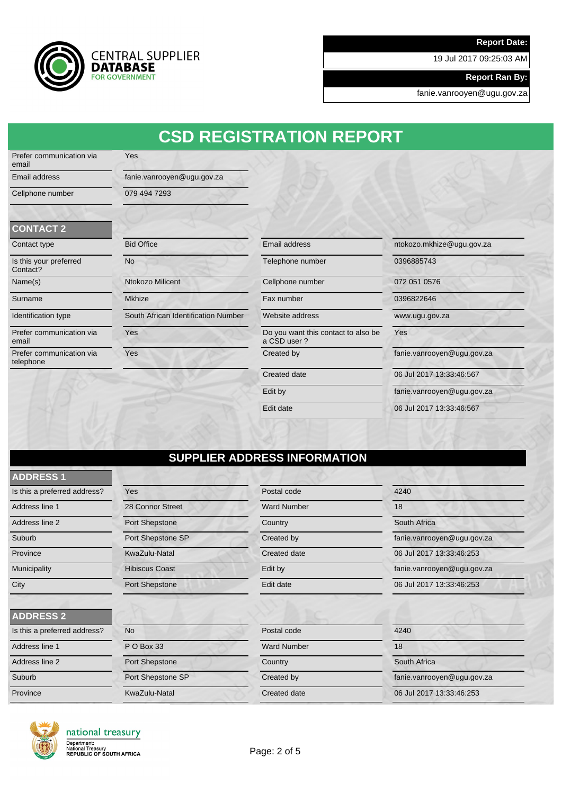19 Jul 2017 09:25:03 AM

**Report Ran By:**

fanie.vanrooyen@ugu.gov.za



Yes

# **CSD REGISTRATION REPORT**

Prefer communication via email

Email address fanie.vanrooyen@ugu.gov.za Cellphone number 079 494 7293

### **CONTACT 2**

| Contact type |  |
|--------------|--|
|              |  |

email

telephone

| Is this your preferred<br>Contact? |
|------------------------------------|
| Name(s)                            |
| Surname                            |
| <b>Identification type</b>         |
| Prefer communication via           |

| UUNTAUT Z                             |                                     |                                                    |                            |
|---------------------------------------|-------------------------------------|----------------------------------------------------|----------------------------|
| Contact type                          | <b>Bid Office</b>                   | Email address                                      | ntokozo.mkhize@ugu.gov.za  |
| Is this your preferred<br>Contact?    | <b>No</b>                           | Telephone number                                   | 0396885743                 |
| Name(s)                               | <b>Ntokozo Milicent</b>             | Cellphone number                                   | 072 051 0576               |
| Surname                               | <b>Mkhize</b>                       | Fax number                                         | 0396822646                 |
| Identification type                   | South African Identification Number | Website address                                    | www.ugu.gov.za             |
| Prefer communication via<br>email     | Yes                                 | Do you want this contact to also be<br>a CSD user? | Yes                        |
| Prefer communication via<br>telephone | Yes                                 | Created by                                         | fanie.vanrooyen@ugu.gov.za |
|                                       |                                     | Created date                                       | 06 Jul 2017 13:33:46:567   |
|                                       |                                     | Edit by                                            | fanie.vanrooyen@ugu.gov.za |
|                                       |                                     | Edit date                                          | 06 Jul 2017 13:33:46:567   |

# **SUPPLIER ADDRESS INFORMATION**

| <b>ADDRESS1</b>              |                       |                     |                            |
|------------------------------|-----------------------|---------------------|----------------------------|
| Is this a preferred address? | Yes                   | Postal code         | 4240                       |
| Address line 1               | 28 Connor Street      | <b>Ward Number</b>  | 18                         |
| Address line 2               | Port Shepstone        | Country             | South Africa               |
| Suburb                       | Port Shepstone SP     | Created by          | fanie.vanrooyen@ugu.gov.za |
| Province                     | KwaZulu-Natal         | Created date        | 06 Jul 2017 13:33:46:253   |
| Municipality                 | <b>Hibiscus Coast</b> | Edit by             | fanie.vanrooyen@ugu.gov.za |
| City                         | Port Shepstone        | Edit date           | 06 Jul 2017 13:33:46:253   |
|                              |                       |                     |                            |
| <b>ADDRESS 2</b>             |                       |                     |                            |
| Is this a preferred address? | <b>No</b>             | Postal code         | 4240                       |
| Address line 1               | P O Box 33            | <b>Ward Number</b>  | 18                         |
| Address line 2               | Port Shepstone        | Country             | South Africa               |
| Suburb                       | Port Shepstone SP     | Created by          | fanie.vanrooyen@ugu.gov.za |
| Province                     | KwaZulu-Natal         | <b>Created date</b> | 06 Jul 2017 13:33:46:253   |



# national treasury

Department:<br>National Treasury<br>REPUBLIC OF SOUTH AFRICA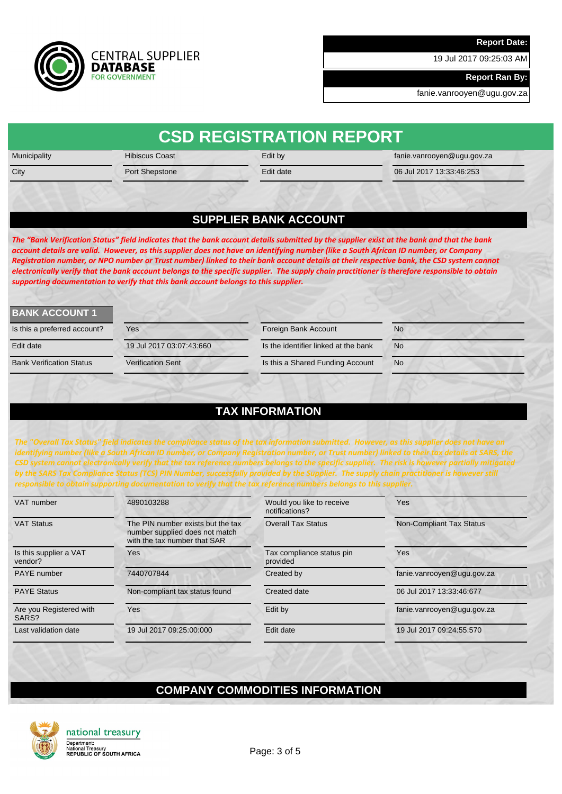19 Jul 2017 09:25:03 AM

**Report Ran By:**

fanie.vanrooyen@ugu.gov.za



| Municipality | <b>Hibiscus Coast</b>                                                               | Edit by                      | fanie.vanrooyen@ugu.gov.za                                                                                                                                                                                                                                                                                                                                                                                                                                                                                                                                                       |
|--------------|-------------------------------------------------------------------------------------|------------------------------|----------------------------------------------------------------------------------------------------------------------------------------------------------------------------------------------------------------------------------------------------------------------------------------------------------------------------------------------------------------------------------------------------------------------------------------------------------------------------------------------------------------------------------------------------------------------------------|
| City         | Port Shepstone                                                                      | Edit date                    | 06 Jul 2017 13:33:46:253                                                                                                                                                                                                                                                                                                                                                                                                                                                                                                                                                         |
|              |                                                                                     |                              |                                                                                                                                                                                                                                                                                                                                                                                                                                                                                                                                                                                  |
|              |                                                                                     | <b>SUPPLIER BANK ACCOUNT</b> |                                                                                                                                                                                                                                                                                                                                                                                                                                                                                                                                                                                  |
|              | supporting documentation to verify that this bank account belongs to this supplier. |                              | The "Bank Verification Status" field indicates that the bank account details submitted by the supplier exist at the bank and that the bank<br>account details are valid. However, as this supplier does not have an identifying number (like a South African ID number, or Company<br>Registration number, or NPO number or Trust number) linked to their bank account details at their respective bank, the CSD system cannot<br>electronically verify that the bank account belongs to the specific supplier. The supply chain practitioner is therefore responsible to obtain |

| <b>BANK ACCOUNT 1</b>           |                          |                                      |           |
|---------------------------------|--------------------------|--------------------------------------|-----------|
| Is this a preferred account?    | Yes                      | Foreign Bank Account                 | <b>No</b> |
| Edit date                       | 19 Jul 2017 03:07:43:660 | Is the identifier linked at the bank | <b>No</b> |
| <b>Bank Verification Status</b> | <b>Verification Sent</b> | Is this a Shared Funding Account     | <b>No</b> |
|                                 |                          |                                      |           |

# **TAX INFORMATION**

*The "Overall Tax Status" field indicates the compliance status of the tax information submitted. However, as this supplier does not have an identifying number (like a South African ID number, or Company Registration number, or Trust number) linked to their tax details at SARS, the ^ƐLJƐƚĞŵĐĂŶŶŽƚĞůĞĐƚƌŽŶŝĐĂůůLJǀĞƌŝĨLJƚŚĂƚƚŚĞƚĂdžƌĞĨĞƌĞŶĐĞŶƵŵďĞƌƐďĞůŽŶŐƐƚŽƚŚĞƐƉĞĐŝĨŝĐƐƵƉƉůŝĞƌ͘dŚĞƌŝƐŬŝƐŚŽǁĞǀĞƌƉĂƌƚŝĂůůLJŵŝƚŝŐĂƚĞĚ by the SARS Tax Compliance Status (TCS) PIN Number, successfully provided by the Supplier. The supply chain practitioner is however still responsible to obtain supporting documentation to verify that the tax reference numbers belongs to this supplier.*

| VAT number                        | 4890103288                                                                                          | Would you like to receive<br>notifications? | <b>Yes</b>                      |
|-----------------------------------|-----------------------------------------------------------------------------------------------------|---------------------------------------------|---------------------------------|
| <b>VAT Status</b>                 | The PIN number exists but the tax<br>number supplied does not match<br>with the tax number that SAR | <b>Overall Tax Status</b>                   | <b>Non-Compliant Tax Status</b> |
| Is this supplier a VAT<br>vendor? | Yes                                                                                                 | Tax compliance status pin<br>provided       | Yes                             |
| PAYE number                       | 7440707844                                                                                          | Created by                                  | fanie.vanrooyen@ugu.gov.za      |
| <b>PAYE Status</b>                | Non-compliant tax status found                                                                      | Created date                                | 06 Jul 2017 13:33:46:677        |
| Are you Registered with<br>SARS?  | Yes                                                                                                 | Edit by                                     | fanie.vanrooyen@ugu.gov.za      |
| Last validation date              | 19 Jul 2017 09:25:00:000                                                                            | Edit date                                   | 19 Jul 2017 09:24:55:570        |
|                                   |                                                                                                     |                                             |                                 |

## **COMPANY COMMODITIES INFORMATION**



national treasury Department:<br>National Treasury<br>REPUBLIC OF SOUTH AFRICA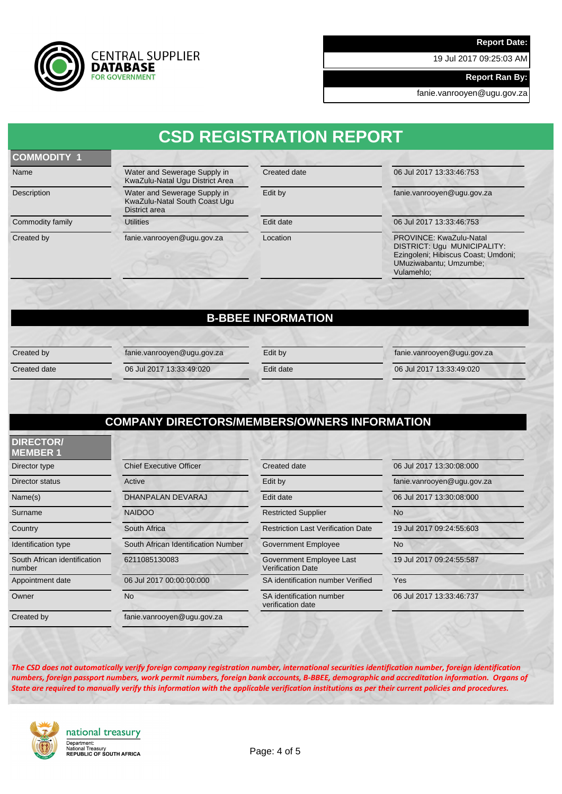19 Jul 2017 09:25:03 AM

**Report Ran By:**

fanie.vanrooyen@ugu.gov.za



# **CSD REGISTRATION REPORT**

### **COMMODITY 1**

Name Water and Sewerage Supply in KwaZulu-Natal Ugu District Area Description Water and Sewerage Supply in KwaZulu-Natal South Coast Ugu District area Commodity family **Edit date** Edit date 06 Jul 2017 13:33:46:753

Created date 06 Jul 2017 13:33:46:753

Edit by fanie.vanrooyen@ugu.gov.za

Created by fanie.vanrooyen@ugu.gov.za Location PROVINCE: KwaZulu-Natal DISTRICT: Ugu MUNICIPALITY: Ezingoleni; Hibiscus Coast; Umdoni; UMuziwabantu; Umzumbe; Vulamehlo;

## **B-BBEE INFORMATION**

Created by fanie.vanrooyen@ugu.gov.za Edit by fanie.vanrooyen@ugu.gov.za

Created date 06 Jul 2017 13:33:49:020 Edit date 06 Jul 2017 13:33:49:020

## **COMPANY DIRECTORS/MEMBERS/OWNERS INFORMATION**

| <b>DIRECTOR/</b><br><b>MEMBER 1</b>    |                                     |                                                      |                            |
|----------------------------------------|-------------------------------------|------------------------------------------------------|----------------------------|
| Director type                          | <b>Chief Executive Officer</b>      | Created date                                         | 06 Jul 2017 13:30:08:000   |
| Director status                        | Active                              | Edit by                                              | fanie.vanrooyen@ugu.gov.za |
| Name(s)                                | DHANPALAN DEVARAJ                   | Edit date                                            | 06 Jul 2017 13:30:08:000   |
| Surname                                | <b>NAIDOO</b>                       | <b>Restricted Supplier</b>                           | <b>No</b>                  |
| Country                                | South Africa                        | <b>Restriction Last Verification Date</b>            | 19 Jul 2017 09:24:55:603   |
| Identification type                    | South African Identification Number | Government Employee                                  | <b>No</b>                  |
| South African identification<br>number | 6211085130083                       | Government Employee Last<br><b>Verification Date</b> | 19 Jul 2017 09:24:55:587   |
| Appointment date                       | 06 Jul 2017 00:00:00:000            | SA identification number Verified                    | Yes                        |
| Owner                                  | <b>No</b>                           | SA identification number<br>verification date        | 06 Jul 2017 13:33:46:737   |
| Created by                             | fanie.vanrooyen@ugu.gov.za          |                                                      |                            |

*The CSD does not automatically verify foreign company registration number, international securities identification number, foreign identification*  numbers, foreign passport numbers, work permit numbers, foreign bank accounts, B-BBEE, demographic and accreditation information. Organs of *State are required to manually verify this information with the applicable verification institutions as per their current policies and procedures.*



national treasury Department:<br>National Treasury<br>REPUBLIC OF SOUTH AFRICA